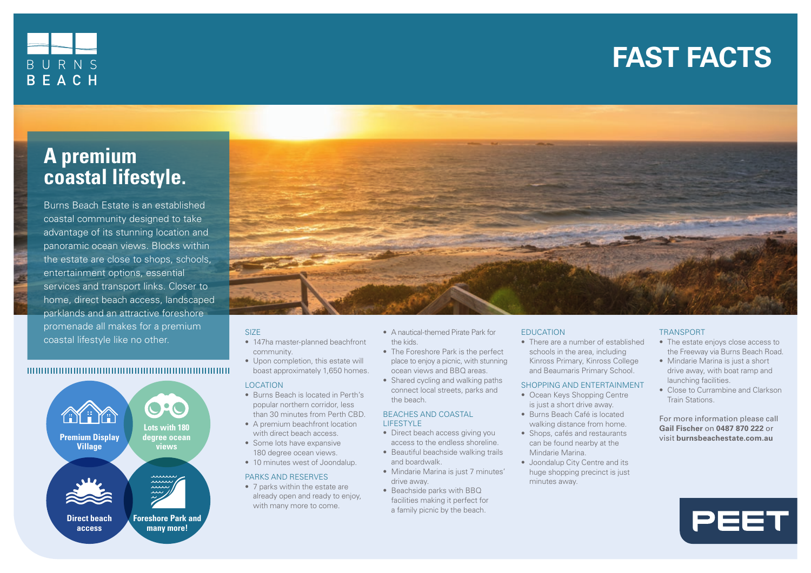# **FAST FACTS FAST FACTS**



# **A premium coastal lifestyle.**

Burns Beach Estate is an established coastal community designed to take advantage of its stunning location and panoramic ocean views. Blocks within the estate are close to shops, schools, entertainment options, essential services and transport links. Closer to home, direct beach access, landscaped parklands and an attractive foreshore promenade all makes for a premium coastal lifestyle like no other.

# 





# SIZE

- 147ha master-planned beachfront community.
- Upon completion, this estate will boast approximately 1,650 homes.

# LOCATION

- Burns Beach is located in Perth's popular northern corridor, less than 30 minutes from Perth CBD. • A premium beachfront location with direct beach access. • Some lots have expansive 180 degree ocean views. • 10 minutes west of Joondalup. PARKS AND RESERVES • 7 parks within the estate are already open and ready to enjoy, with many more to come.
- A nautical-themed Pirate Park for the kids.
- The Foreshore Park is the perfect place to enjoy a picnic, with stunning ocean views and BBQ areas.
- Shared cycling and walking paths connect local streets, parks and the beach.

#### BEACHES AND COASTAL LIFESTYLE

- Direct beach access giving you access to the endless shoreline.
- Beautiful beachside walking trails and boardwalk.
- Mindarie Marina is just 7 minutes' drive away.
- Beachside parks with BBQ facilities making it perfect for a family picnic by the beach.

# EDUCATION

• There are a number of established schools in the area, including Kinross Primary, Kinross College and Beaumaris Primary School.

## SHOPPING AND ENTERTAINMENT

- Ocean Keys Shopping Centre is just a short drive away.
- Burns Beach Café is located walking distance from home.
- Shops, cafés and restaurants can be found nearby at the Mindarie Marina.
- Joondalup City Centre and its huge shopping precinct is just minutes away.

# TRANSPORT

- The estate enjoys close access to the Freeway via Burns Beach Road.
- Mindarie Marina is just a short drive away, with boat ramp and launching facilities.
- Close to Currambine and Clarkson Train Stations.

For more information please call **Gail Fischer** on **0487 870 222** or visit **burnsbeachestate.com.au**

PEET